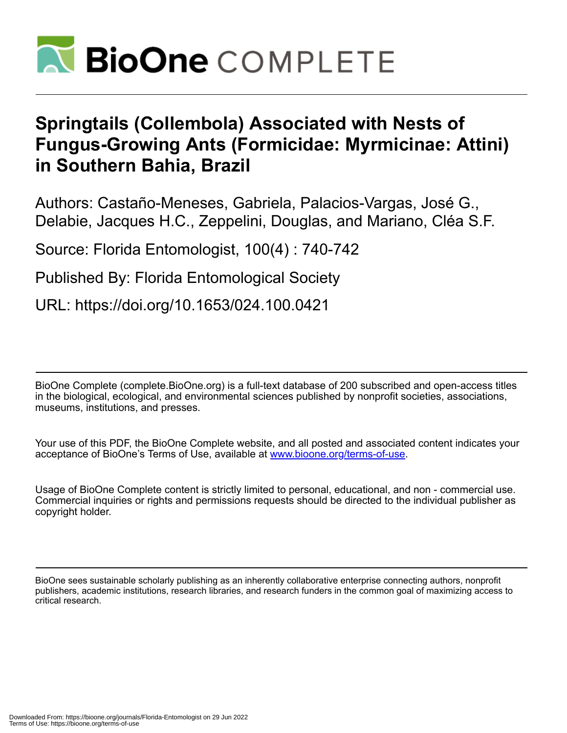

## **Springtails (Collembola) Associated with Nests of Fungus-Growing Ants (Formicidae: Myrmicinae: Attini) in Southern Bahia, Brazil**

Authors: Castaño-Meneses, Gabriela, Palacios-Vargas, José G., Delabie, Jacques H.C., Zeppelini, Douglas, and Mariano, Cléa S.F.

Source: Florida Entomologist, 100(4) : 740-742

Published By: Florida Entomological Society

URL: https://doi.org/10.1653/024.100.0421

BioOne Complete (complete.BioOne.org) is a full-text database of 200 subscribed and open-access titles in the biological, ecological, and environmental sciences published by nonprofit societies, associations, museums, institutions, and presses.

Your use of this PDF, the BioOne Complete website, and all posted and associated content indicates your acceptance of BioOne's Terms of Use, available at www.bioone.org/terms-of-use.

Usage of BioOne Complete content is strictly limited to personal, educational, and non - commercial use. Commercial inquiries or rights and permissions requests should be directed to the individual publisher as copyright holder.

BioOne sees sustainable scholarly publishing as an inherently collaborative enterprise connecting authors, nonprofit publishers, academic institutions, research libraries, and research funders in the common goal of maximizing access to critical research.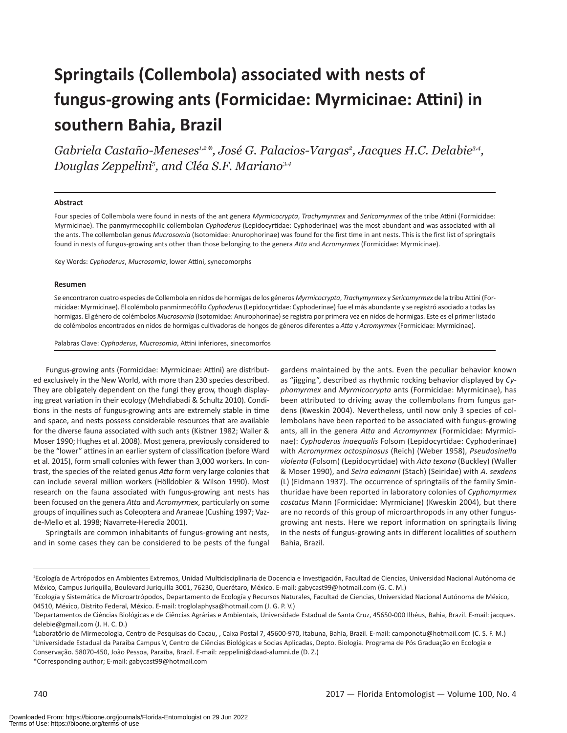# **Springtails (Collembola) associated with nests of fungus-growing ants (Formicidae: Myrmicinae: Attini) in southern Bahia, Brazil**

Gabriela Castaño-Meneses<sup>1,2</sup>\*, José G. Palacios-Vargas<sup>2</sup>, Jacques H.C. Delabie<sup>3,4</sup>, *Douglas Zeppelini5 , and Cléa S.F. Mariano3,4*

#### **Abstract**

Four species of Collembola were found in nests of the ant genera *Myrmicocrypta*, *Trachymyrmex* and *Sericomyrmex* of the tribe Attini (Formicidae: Myrmicinae). The panmyrmecophilic collembolan *Cyphoderus* (Lepidocyrtidae: Cyphoderinae) was the most abundant and was associated with all the ants. The collembolan genus *Mucrosomia* (Isotomidae: Anurophorinae) was found for the first time in ant nests. This is the first list of springtails found in nests of fungus-growing ants other than those belonging to the genera *Atta* and *Acromyrmex* (Formicidae: Myrmicinae).

Key Words: *Cyphoderus*, *Mucrosomia*, lower Attini, synecomorphs

#### **Resumen**

Se encontraron cuatro especies de Collembola en nidos de hormigas de los géneros *Myrmicocrypta*, *Trachymyrmex* y *Sericomyrmex* de la tribu Attini (Formicidae: Myrmicinae). El colémbolo panmirmecófilo *Cyphoderus* (Lepidocyrtidae: Cyphoderinae) fue el más abundante y se registró asociado a todas las hormigas. El género de colémbolos *Mucrosomia* (Isotomidae: Anurophorinae) se registra por primera vez en nidos de hormigas. Este es el primer listado de colémbolos encontrados en nidos de hormigas cultivadoras de hongos de géneros diferentes a *Atta* y *Acromyrmex* (Formicidae: Myrmicinae).

Palabras Clave: *Cyphoderus*, *Mucrosomia*, Attini inferiores, sinecomorfos

Fungus-growing ants (Formicidae: Myrmicinae: Attini) are distributed exclusively in the New World, with more than 230 species described. They are obligately dependent on the fungi they grow, though displaying great variation in their ecology (Mehdiabadi & Schultz 2010). Conditions in the nests of fungus-growing ants are extremely stable in time and space, and nests possess considerable resources that are available for the diverse fauna associated with such ants (Kistner 1982; Waller & Moser 1990; Hughes et al. 2008). Most genera, previously considered to be the "lower" attines in an earlier system of classification (before Ward et al. 2015), form small colonies with fewer than 3,000 workers. In contrast, the species of the related genus *Atta* form very large colonies that can include several million workers (Hölldobler & Wilson 1990). Most research on the fauna associated with fungus-growing ant nests has been focused on the genera *Atta* and *Acromyrmex*, particularly on some groups of inquilines such as Coleoptera and Araneae (Cushing 1997; Vazde-Mello et al. 1998; Navarrete-Heredia 2001).

Springtails are common inhabitants of fungus-growing ant nests, and in some cases they can be considered to be pests of the fungal

gardens maintained by the ants. Even the peculiar behavior known as "jigging", described as rhythmic rocking behavior displayed by *Cyphomyrmex* and *Myrmicocrypta* ants (Formicidae: Myrmicinae), has been attributed to driving away the collembolans from fungus gardens (Kweskin 2004). Nevertheless, until now only 3 species of collembolans have been reported to be associated with fungus-growing ants, all in the genera *Atta* and *Acromyrmex* (Formicidae: Myrmicinae): *Cyphoderus inaequalis* Folsom (Lepidocyrtidae: Cyphoderinae) with *Acromyrmex octospinosus* (Reich) (Weber 1958), *Pseudosinella violenta* (Folsom) (Lepidocyrtidae) with *Atta texana* (Buckley) (Waller & Moser 1990), and *Seira edmanni* (Stach) (Seiridae) with *A. sexdens* (L) (Eidmann 1937). The occurrence of springtails of the family Sminthuridae have been reported in laboratory colonies of *Cyphomyrmex costatus* Mann (Formicidae: Myrmiciane) (Kweskin 2004), but there are no records of this group of microarthropods in any other fungusgrowing ant nests. Here we report information on springtails living in the nests of fungus-growing ants in different localities of southern Bahia, Brazil.

\*Corresponding author; E-mail: gabycast99@hotmail.com

<sup>1</sup> Ecología de Artrópodos en Ambientes Extremos, Unidad Multidisciplinaria de Docencia e Investigación, Facultad de Ciencias, Universidad Nacional Autónoma de México, Campus Juriquilla, Boulevard Juriquilla 3001, 76230, Querétaro, México. E-mail: gabycast99@hotmail.com (G. C. M.)

<sup>2</sup> Ecología y Sistemática de Microartrópodos, Departamento de Ecología y Recursos Naturales, Facultad de Ciencias, Universidad Nacional Autónoma de México, 04510, México, Distrito Federal, México. E-mail: troglolaphysa@hotmail.com (J. G. P. V.)

<sup>&</sup>lt;sup>3</sup>Departamentos de Ciências Biológicas e de Ciências Agrárias e Ambientais, Universidade Estadual de Santa Cruz, 45650-000 Ilhéus, Bahia, Brazil. E-mail: jacques. delebie@gmail.com (J. H. C. D.)

<sup>4</sup> Laboratôrio de Mirmecologia, Centro de Pesquisas do Cacau, , Caixa Postal 7, 45600-970, Itabuna, Bahia, Brazil. E-mail: camponotu@hotmail.com (C. S. F. M.) <sup>5</sup>Universidade Estadual da Paraíba Campus V, Centro de Ciências Biológicas e Socias Aplicadas, Depto. Biologia. Programa de Pós Graduação en Ecologia e Conservação. 58070-450, João Pessoa, Paraíba, Brazil. E-mail: zeppelini@daad-alumni.de (D. Z.)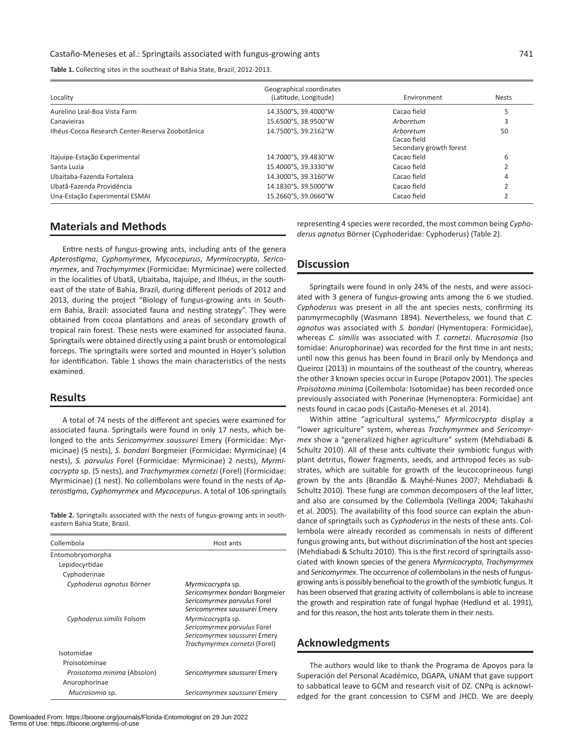**Table 1.** Collecting sites in the southeast of Bahia State, Brazil, 2012-2013.

| Locality                                         | Geographical coordinates<br>(Latitude, Longitude) | Environment                                         | <b>Nests</b> |
|--------------------------------------------------|---------------------------------------------------|-----------------------------------------------------|--------------|
| Aurelino Leal-Boa Vista Farm                     | 14.3500°S, 39.4000°W                              | Cacao field                                         |              |
| Canavieiras                                      | 15.6500°S, 38.9500°W                              | Arboretum                                           |              |
| Ilhéus-Cocoa Research Center-Reserva Zoobotânica | 14.7500°S. 39.2162°W                              | Arboretum<br>Cacao field<br>Secondary growth forest | 50           |
| Itajuípe-Estação Experimental                    | 14.7000°S, 39.4830°W                              | Cacao field                                         | 6            |
| Santa Luzia                                      | 15.4000°S, 39.3330°W                              | Cacao field                                         |              |
| Ubaitaba-Fazenda Fortaleza                       | 14.3000°S. 39.3160°W                              | Cacao field                                         |              |
| Ubatã-Fazenda Providência                        | 14.1830°S, 39.5000°W                              | Cacao field                                         |              |
| Una-Estação Experimental ESMAI                   | 15.2660°S. 39.0660°W                              | Cacao field                                         |              |

## **Materials and Methods**

Entire nests of fungus-growing ants, including ants of the genera *Apterostigma*, *Cyphomyrmex*, *Mycocepurus*, *Myrmicocrypta*, *Sericomyrmex*, and *Trachymyrmex* (Formicidae: Myrmicinae) were collected in the localities of Ubatã, Ubaitaba, Itajuípe, and Ilhéus, in the southeast of the state of Bahia, Brazil, during different periods of 2012 and 2013, during the project "Biology of fungus-growing ants in Southern Bahia, Brazil: associated fauna and nesting strategy". They were obtained from cocoa plantations and areas of secondary growth of tropical rain forest. These nests were examined for associated fauna. Springtails were obtained directly using a paint brush or entomological forceps. The springtails were sorted and mounted in Hoyer's solution for identification. Table 1 shows the main characteristics of the nests examined.

#### **Results**

A total of 74 nests of the different ant species were examined for associated fauna. Springtails were found in only 17 nests, which belonged to the ants *Sericomyrmex saussurei* Emery (Formicidae: Myrmicinae) (5 nests), *S. bondari* Borgmeier (Formicidae: Myrmicinae) (4 nests), *S. parvulus* Forel (Formicidae: Myrmicinae) 2 nests), *Myrmicocrypta* sp. (5 nests), and *Trachymyrmex cornetzi* (Forel) (Formicidae: Myrmicinae) (1 nest). No collembolans were found in the nests of *Apterostigma*, *Cyphomyrmex* and *Mycocepurus*. A total of 106 springtails

**Table 2.** Springtails associated with the nests of fungus-growing ants in southeastern Bahia State, Brazil.

| Collembola                                   | Host ants                                                                                                          |  |
|----------------------------------------------|--------------------------------------------------------------------------------------------------------------------|--|
| Entomobryomorpha                             |                                                                                                                    |  |
| Lepidocyrtidae                               |                                                                                                                    |  |
| Cyphoderinae                                 |                                                                                                                    |  |
| Cyphoderus agnotus Börner                    | Myrmicocrypta sp.<br>Sericomyrmex bondari Borgmeier<br>Sericomyrmex parvulus Forel<br>Sericomyrmex saussurei Emery |  |
| Cyphoderus similis Folsom                    | Myrmicocrypta sp.<br>Sericomyrmex parvulus Forel<br>Sericomyrmex saussurei Emery<br>Trachymyrmex cornetzi (Forel)  |  |
| Isotomidae                                   |                                                                                                                    |  |
| Proisotominae                                |                                                                                                                    |  |
| Proisotoma minima (Absolon)<br>Anurophorinae | Sericomyrmex saussurei Emery                                                                                       |  |
| Mucrosomia sp.                               | Sericomyrmex saussurei Emery                                                                                       |  |

Downloaded From: https://bioone.org/journals/Florida-Entomologist on 29 Jun 2022 Terms of Use: https://bioone.org/terms-of-use

representing 4 species were recorded, the most common being *Cyphoderus agnotus* Börner (Cyphoderidae: Cyphoderus) (Table 2).

#### **Discussion**

Springtails were found in only 24% of the nests, and were associated with 3 genera of fungus-growing ants among the 6 we studied. *Cyphoderus* was present in all the ant species nests, confirming its panmyrmecophily (Wasmann 1894). Nevertheless, we found that *C. agnotus* was associated with *S. bondari* (Hymentopera: Formicidae), whereas *C. similis* was associated with *T. cornetzi*. *Mucrosomia* (Iso tomidae: Anurophorinae) was recorded for the first time in ant nests; until now this genus has been found in Brazil only by Mendonça and Queiroz (2013) in mountains of the southeast of the country, whereas the other 3 known species occur in Europe (Potapov 2001). The species *Proisotoma minima* (Collembola: Isotomidae) has been recorded once previously associated with Ponerinae (Hymenoptera: Formicidae) ant nests found in cacao pods (Castaño-Meneses et al. 2014).

Within attine "agricultural systems," *Myrmicocrypta* display a "lower agriculture" system, whereas *Trachymyrmex* and *Sericomyrmex* show a "generalized higher agriculture" system (Mehdiabadi & Schultz 2010). All of these ants cultivate their symbiotic fungus with plant detritus, flower fragments, seeds, and arthropod feces as substrates, which are suitable for growth of the leucocoprineous fungi grown by the ants (Brandão & Mayhé-Nunes 2007; Mehdiabadi & Schultz 2010). These fungi are common decomposers of the leaf litter, and also are consumed by the Collembola (Vellinga 2004; Takahashi et al. 2005). The availability of this food source can explain the abundance of springtails such as *Cyphoderus* in the nests of these ants. Collembola were already recorded as commensals in nests of different fungus growing ants, but without discrimination of the host ant species (Mehdiabadi & Schultz 2010). This is the first record of springtails associated with known species of the genera *Myrmicocrypta*, *Trachymyrmex* and *Sericomyrmex*. The occurrence of collembolans in the nests of fungusgrowing ants is possibly beneficial to the growth of the symbiotic fungus. It has been observed that grazing activity of collembolans is able to increase the growth and respiration rate of fungal hyphae (Hedlund et al. 1991), and for this reason, the host ants tolerate them in their nests.

## **Acknowledgments**

The authors would like to thank the Programa de Apoyos para la Superación del Personal Académico, DGAPA, UNAM that gave support to sabbatical leave to GCM and research visit of DZ. CNPq is acknowledged for the grant concession to CSFM and JHCD. We are deeply